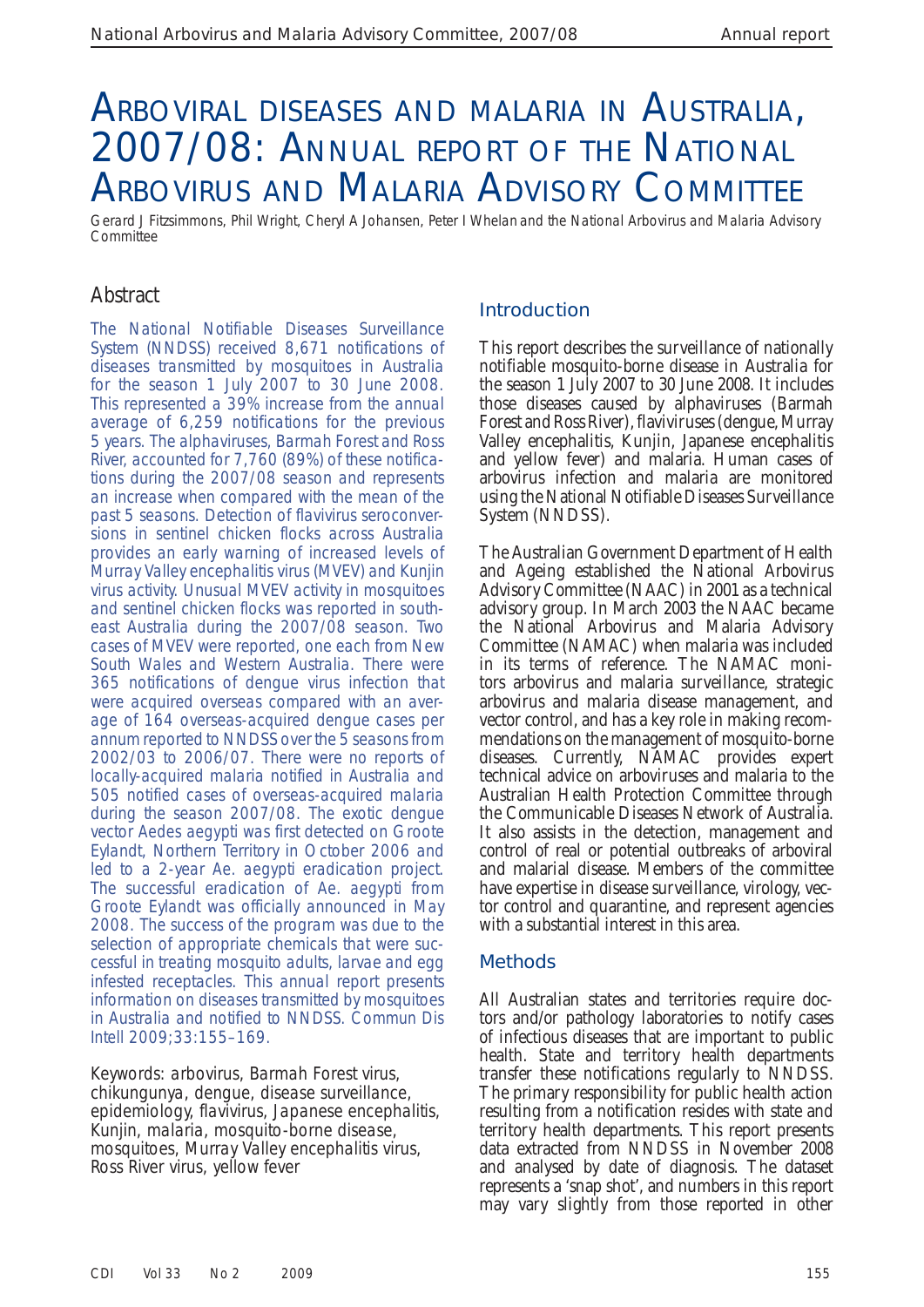# ARBOVIRAL DISEASES AND MALARIA IN AUSTRALIA, 2007/08: ANNUAL REPORT OF THE NATIONAL ARBOVIRUS AND MALARIA ADVISORY COMMITTEE

Gerard J Fitzsimmons, Phil Wright, Cheryl A Johansen, Peter I Whelan and the National Arbovirus and Malaria Advisory **Committee** 

# Abstract

The National Notifiable Diseases Surveillance System (NNDSS) received 8,671 notifications of diseases transmitted by mosquitoes in Australia for the season 1 July 2007 to 30 June 2008. This represented a 39% increase from the annual average of 6,259 notifications for the previous 5 years. The alphaviruses, Barmah Forest and Ross River, accounted for 7,760 (89%) of these notifications during the 2007/08 season and represents an increase when compared with the mean of the past 5 seasons. Detection of flavivirus seroconversions in sentinel chicken flocks across Australia provides an early warning of increased levels of Murray Valley encephalitis virus (MVEV) and Kunjin virus activity. Unusual MVEV activity in mosquitoes and sentinel chicken flocks was reported in southeast Australia during the 2007/08 season. Two cases of MVEV were reported, one each from New South Wales and Western Australia. There were 365 notifications of dengue virus infection that were acquired overseas compared with an average of 164 overseas-acquired dengue cases per annum reported to NNDSS over the 5 seasons from 2002/03 to 2006/07. There were no reports of locally-acquired malaria notified in Australia and 505 notified cases of overseas-acquired malaria during the season 2007/08. The exotic dengue vector *Aedes aegypti* was first detected on Groote Eylandt, Northern Territory in October 2006 and led to a 2-year *Ae. aegypti* eradication project. The successful eradication of *Ae. aegypti* from Groote Eylandt was officially announced in May 2008. The success of the program was due to the selection of appropriate chemicals that were successful in treating mosquito adults, larvae and egg infested receptacles. This annual report presents information on diseases transmitted by mosquitoes in Australia and notified to NNDSS. *Commun Dis Intell* 2009;33:155–169.

Keywords: arbovirus, Barmah Forest virus, chikungunya, dengue, disease surveillance, epidemiology, flavivirus, Japanese encephalitis, Kunjin, malaria, mosquito-borne disease, mosquitoes, Murray Valley encephalitis virus, Ross River virus, yellow fever

# **Introduction**

 This report describes the surveillance of nationally notifiable mosquito-borne disease in Australia for the season 1 July 2007 to 30 June 2008. It includes those diseases caused by alphaviruses (Barmah Forest and Ross River), flaviviruses (dengue, Murray Valley encephalitis, Kunjin, Japanese encephalitis and yellow fever) and malaria. Human cases of arbovirus infection and malaria are monitored using the National Notifiable Diseases Surveillance System (NNDSS).

 The Australian Government Department of Health and Ageing established the National Arbovirus Advisory Committee (NAAC) in 2001 as a technical advisory group. In March 2003 the NAAC became the National Arbovirus and Malaria Advisory Committee (NAMAC) when malaria was included in its terms of reference. The NAMAC monitors arbovirus and malaria surveillance, strategic arbovirus and malaria disease management, and vector control, and has a key role in making recommendations on the management of mosquito-borne diseases. Currently, NAMAC provides expert technical advice on arboviruses and malaria to the Australian Health Protection Committee through the Communicable Diseases Network of Australia. It also assists in the detection, management and control of real or potential outbreaks of arboviral and malarial disease. Members of the committee have expertise in disease surveillance, virology, vector control and quarantine, and represent agencies with a substantial interest in this area.

#### **Methods**

 All Australian states and territories require doctors and/or pathology laboratories to notify cases of infectious diseases that are important to public health. State and territory health departments transfer these notifications regularly to NNDSS. The primary responsibility for public health action resulting from a notification resides with state and territory health departments. This report presents data extracted from NNDSS in November 2008 and analysed by date of diagnosis. The dataset represents a 'snap shot', and numbers in this report may vary slightly from those reported in other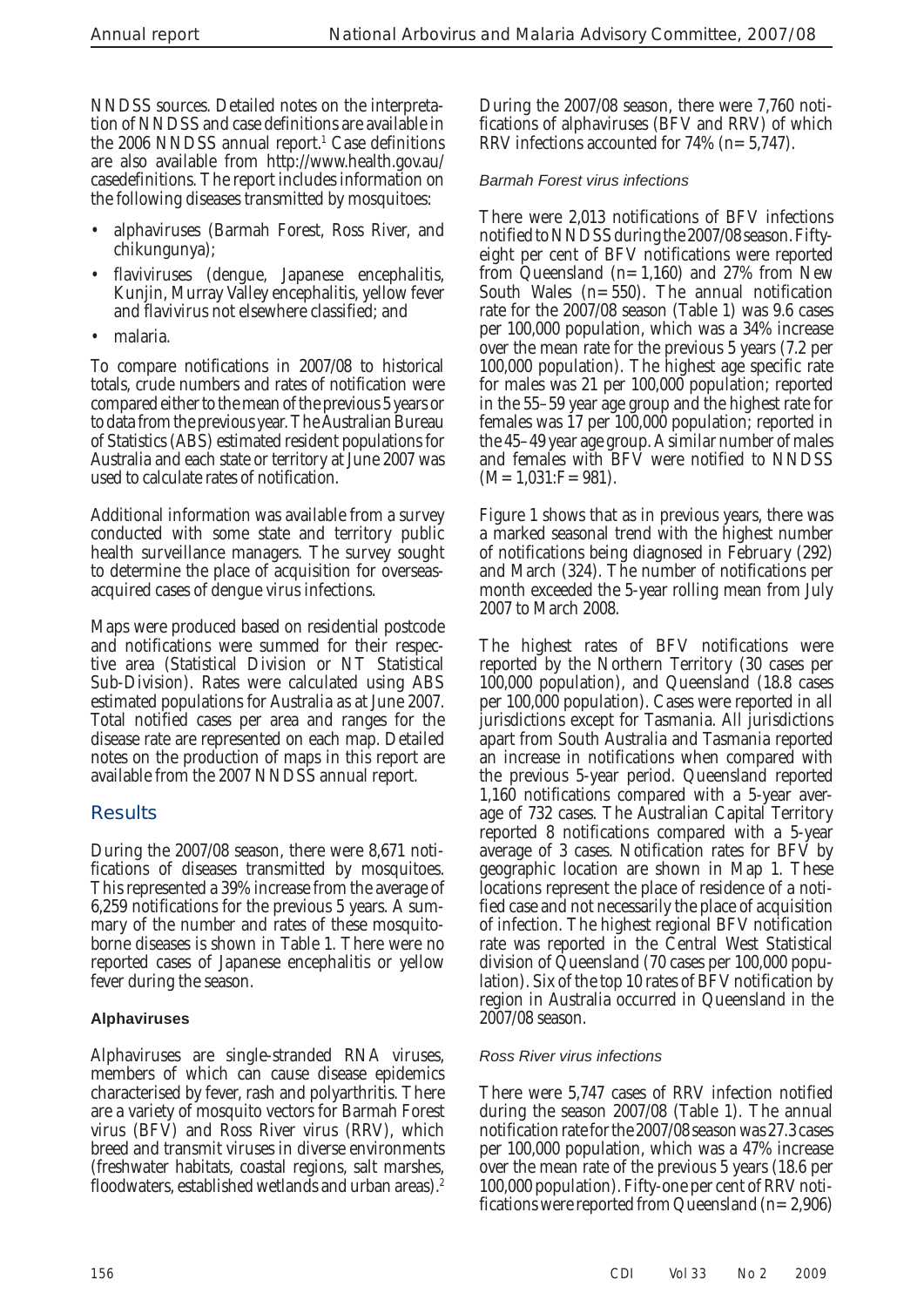NNDSS sources. Detailed notes on the interpretation of NNDSS and case definitions are available in the 2006 NNDSS annual report.<sup>1</sup> Case definitions are also available from http://www.health.gov.au/ casedefinitions. The report includes information on the following diseases transmitted by mosquitoes:

- alphaviruses (Barmah Forest, Ross River, and chikungunya);
- flaviviruses (dengue, Japanese encephalitis, Kunjin, Murray Valley encephalitis, yellow fever and flavivirus not elsewhere classified; and
- malaria.

 To compare notifications in 2007/08 to historical totals, crude numbers and rates of notification were compared either to the mean of the previous 5 years or to data from the previous year. The Australian Bureau of Statistics (ABS) estimated resident populations for Australia and each state or territory at June 2007 was used to calculate rates of notification.

 Additional information was available from a survey conducted with some state and territory public health surveillance managers. The survey sought to determine the place of acquisition for overseasacquired cases of dengue virus infections.

 Maps were produced based on residential postcode and notifications were summed for their respective area (Statistical Division or NT Statistical Sub-Division). Rates were calculated using ABS estimated populations for Australia as at June 2007. Total notified cases per area and ranges for the disease rate are represented on each map. Detailed notes on the production of maps in this report are available from the 2007 NNDSS annual report.

# **Results**

 During the 2007/08 season, there were 8,671 notifications of diseases transmitted by mosquitoes. This represented a 39% increase from the average of 6,259 notifications for the previous 5 years. A summary of the number and rates of these mosquitoborne diseases is shown in Table 1. There were no reported cases of Japanese encephalitis or yellow fever during the season.

# **Alphaviruses**

 Alphaviruses are single-stranded RNA viruses, members of which can cause disease epidemics characterised by fever, rash and polyarthritis. There are a variety of mosquito vectors for Barmah Forest virus (BFV) and Ross River virus (RRV), which breed and transmit viruses in diverse environments (freshwater habitats, coastal regions, salt marshes, floodwaters, established wetlands and urban areas). 2

During the 2007/08 season, there were 7,760 notifications of alphaviruses (BFV and RRV) of which RRV infections accounted for 74% (n=5,747).

## *Barmah Forest virus infections*

 There were 2,013 notifications of BFV infections notified to NNDSS during the 2007/08 season. Fiftyeight per cent of BFV notifications were reported from Queensland  $(n=1,160)$  and 27% from New South Wales (n=550). The annual notification rate for the 2007/08 season (Table 1) was 9.6 cases per 100,000 population, which was a 34% increase over the mean rate for the previous 5 years (7.2 per 100,000 population). The highest age specific rate for males was 21 per 100,000 population; reported in the 55–59 year age group and the highest rate for females was 17 per 100,000 population; reported in the 45–49 year age group. A similar number of males and females with BFV were notified to NNDSS  $(M=1,031;F=981)$ .

 Figure 1 shows that as in previous years, there was a marked seasonal trend with the highest number of notifications being diagnosed in February (292) and March (324). The number of notifications per month exceeded the 5-year rolling mean from July 2007 to March 2008.

 The highest rates of BFV notifications were reported by the Northern Territory (30 cases per 100,000 population), and Queensland (18.8 cases per 100,000 population). Cases were reported in all jurisdictions except for Tasmania. All jurisdictions apart from South Australia and Tasmania reported an increase in notifications when compared with the previous 5-year period. Queensland reported 1,160 notifications compared with a 5-year average of 732 cases. The Australian Capital Territory reported 8 notifications compared with a 5-year average of 3 cases. Notification rates for BFV by geographic location are shown in Map 1. These locations represent the place of residence of a notified case and not necessarily the place of acquisition of infection. The highest regional BFV notification rate was reported in the Central West Statistical division of Queensland (70 cases per 100,000 population). Six of the top 10 rates of BFV notification by region in Australia occurred in Queensland in the 2007/08 season.

#### *Ross River virus infections*

 There were 5,747 cases of RRV infection notified during the season 2007/08 (Table 1). The annual notification rate for the 2007/08 season was 27.3 cases per 100,000 population, which was a 47% increase over the mean rate of the previous 5 years (18.6 per 100,000 population). Fifty-one per cent of RRV notifications were reported from Queensland  $(n=2,906)$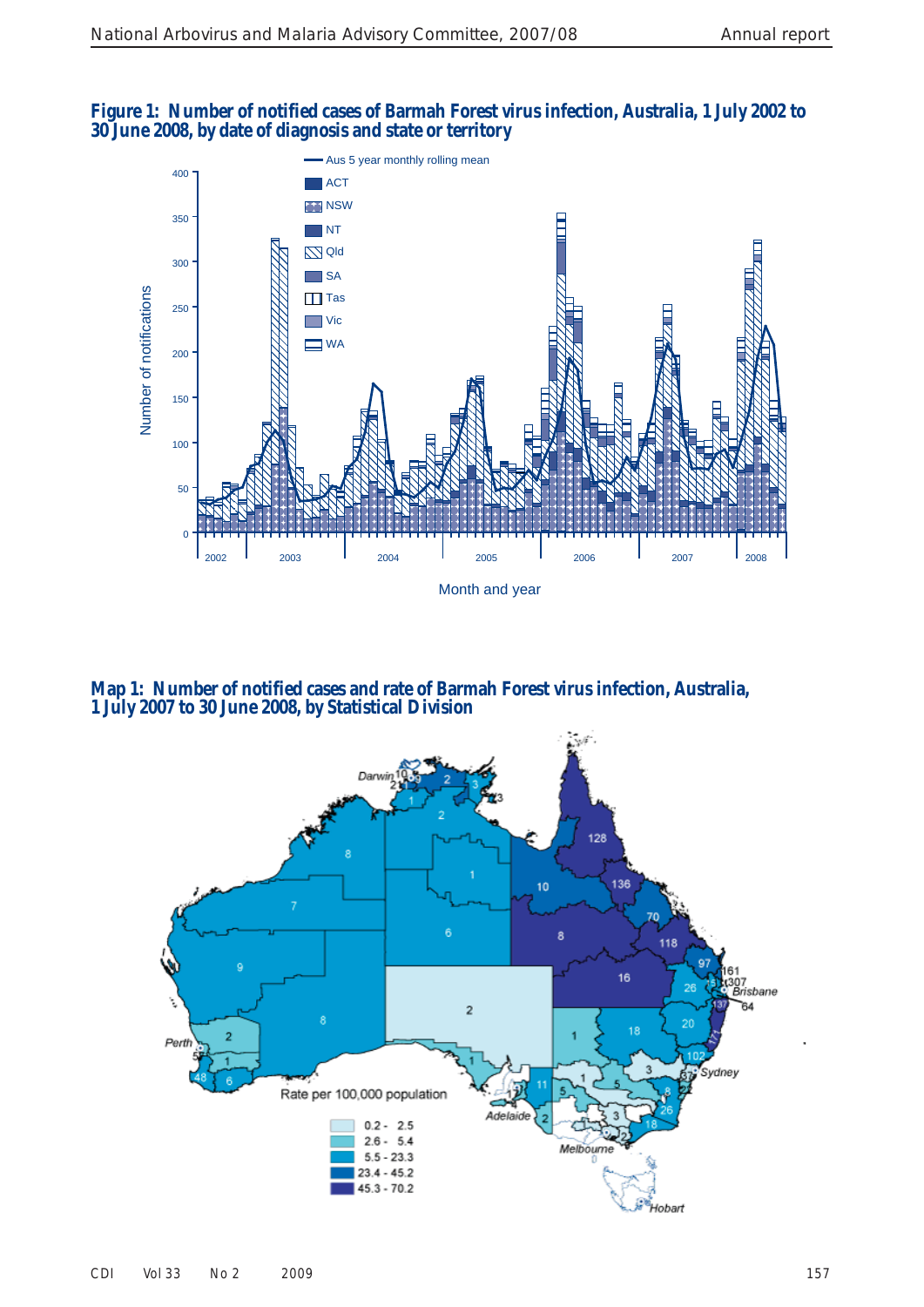## **Figure 1: Number of notified cases of Barmah Forest virus infection, Australia, 1 July 2002 to 30 June 2008, by date of diagnosis and state or territory**



 **Map 1: Number of notified cases and rate of Barmah Forest virus infection, Australia, 1 July 2007 to 30 June 2008, by Statistical Division** 

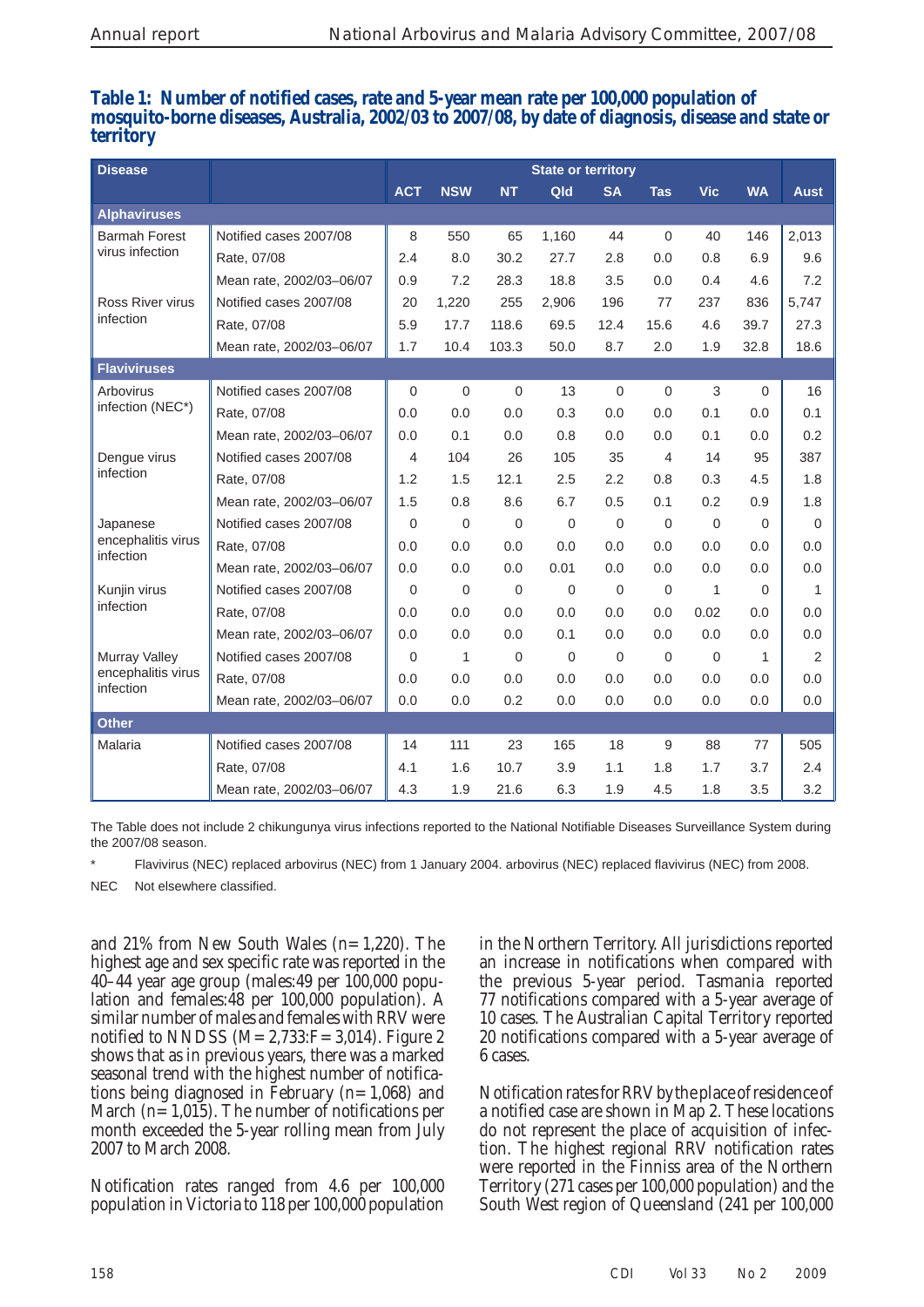#### **Table 1: Number of notified cases, rate and 5-year mean rate per 100,000 population of mosquito-borne diseases, Australia, 2002/03 to 2007/08, by date of diagnosis, disease and state or territory**

| <b>Disease</b>                  |                          | <b>State or territory</b> |              |                |             |             |                |             |                |                |
|---------------------------------|--------------------------|---------------------------|--------------|----------------|-------------|-------------|----------------|-------------|----------------|----------------|
|                                 |                          | <b>ACT</b>                | <b>NSW</b>   | <b>NT</b>      | Qld         | <b>SA</b>   | <b>Tas</b>     | <b>Vic</b>  | <b>WA</b>      | <b>Aust</b>    |
| <b>Alphaviruses</b>             |                          |                           |              |                |             |             |                |             |                |                |
| <b>Barmah Forest</b>            | Notified cases 2007/08   | 8                         | 550          | 65             | 1,160       | 44          | $\mathbf 0$    | 40          | 146            | 2,013          |
| virus infection                 | Rate, 07/08              | 2.4                       | 8.0          | 30.2           | 27.7        | 2.8         | 0.0            | 0.8         | 6.9            | 9.6            |
|                                 | Mean rate, 2002/03-06/07 | 0.9                       | 7.2          | 28.3           | 18.8        | 3.5         | 0.0            | 0.4         | 4.6            | 7.2            |
| Ross River virus                | Notified cases 2007/08   | 20                        | 1,220        | 255            | 2,906       | 196         | 77             | 237         | 836            | 5,747          |
| infection                       | Rate, 07/08              | 5.9                       | 17.7         | 118.6          | 69.5        | 12.4        | 15.6           | 4.6         | 39.7           | 27.3           |
|                                 | Mean rate, 2002/03-06/07 | 1.7                       | 10.4         | 103.3          | 50.0        | 8.7         | 2.0            | 1.9         | 32.8           | 18.6           |
| <b>Flaviviruses</b>             |                          |                           |              |                |             |             |                |             |                |                |
| Arbovirus                       | Notified cases 2007/08   | $\mathbf 0$               | $\mathbf 0$  | $\Omega$       | 13          | 0           | $\overline{0}$ | 3           | $\mathbf 0$    | 16             |
| infection (NEC*)                | Rate, 07/08              | 0.0                       | 0.0          | 0.0            | 0.3         | 0.0         | 0.0            | 0.1         | 0.0            | 0.1            |
|                                 | Mean rate, 2002/03-06/07 | 0.0                       | 0.1          | 0.0            | 0.8         | 0.0         | 0.0            | 0.1         | 0.0            | 0.2            |
| Dengue virus                    | Notified cases 2007/08   | 4                         | 104          | 26             | 105         | 35          | $\overline{4}$ | 14          | 95             | 387            |
| infection                       | Rate, 07/08              | 1.2                       | 1.5          | 12.1           | 2.5         | 2.2         | 0.8            | 0.3         | 4.5            | 1.8            |
|                                 | Mean rate, 2002/03-06/07 | 1.5                       | 0.8          | 8.6            | 6.7         | 0.5         | 0.1            | 0.2         | 0.9            | 1.8            |
| Japanese                        | Notified cases 2007/08   | $\mathbf 0$               | $\mathbf 0$  | $\mathbf 0$    | $\mathbf 0$ | $\mathbf 0$ | $\overline{0}$ | $\mathbf 0$ | $\overline{0}$ | $\mathbf 0$    |
| encephalitis virus<br>infection | Rate, 07/08              | 0.0                       | 0.0          | 0.0            | 0.0         | 0.0         | 0.0            | 0.0         | 0.0            | 0.0            |
|                                 | Mean rate, 2002/03-06/07 | 0.0                       | 0.0          | 0.0            | 0.01        | 0.0         | 0.0            | 0.0         | 0.0            | 0.0            |
| Kunjin virus                    | Notified cases 2007/08   | 0                         | $\mathbf 0$  | $\overline{0}$ | $\mathbf 0$ | $\mathbf 0$ | $\mathbf 0$    | 1           | $\overline{0}$ | 1              |
| infection                       | Rate, 07/08              | 0.0                       | 0.0          | 0.0            | 0.0         | 0.0         | 0.0            | 0.02        | 0.0            | 0.0            |
|                                 | Mean rate, 2002/03-06/07 | 0.0                       | 0.0          | 0.0            | 0.1         | 0.0         | 0.0            | 0.0         | 0.0            | 0.0            |
| Murray Valley                   | Notified cases 2007/08   | $\mathbf 0$               | $\mathbf{1}$ | $\mathbf 0$    | $\mathbf 0$ | $\mathbf 0$ | $\overline{0}$ | $\mathbf 0$ | $\mathbf{1}$   | $\overline{2}$ |
| encephalitis virus<br>infection | Rate, 07/08              | 0.0                       | 0.0          | 0.0            | 0.0         | 0.0         | 0.0            | 0.0         | 0.0            | 0.0            |
|                                 | Mean rate, 2002/03-06/07 | 0.0                       | 0.0          | 0.2            | 0.0         | 0.0         | 0.0            | 0.0         | 0.0            | 0.0            |
| <b>Other</b>                    |                          |                           |              |                |             |             |                |             |                |                |
| Malaria                         | Notified cases 2007/08   | 14                        | 111          | 23             | 165         | 18          | 9              | 88          | 77             | 505            |
|                                 | Rate, 07/08              | 4.1                       | 1.6          | 10.7           | 3.9         | 1.1         | 1.8            | 1.7         | 3.7            | 2.4            |
|                                 | Mean rate, 2002/03-06/07 | 4.3                       | 1.9          | 21.6           | 6.3         | 1.9         | 4.5            | 1.8         | 3.5            | 3.2            |

The Table does not include 2 chikungunya virus infections reported to the National Notifiable Diseases Surveillance System during the 2007/08 season.

Flavivirus (NEC) replaced arbovirus (NEC) from 1 January 2004. arbovirus (NEC) replaced flavivirus (NEC) from 2008. NEC. Not elsewhere classified.

and 21% from New South Wales  $(n=1,220)$ . The highest age and sex specific rate was reported in the  $40-44$  year age group (males: 49 per  $100,000$  population and females:48 per 100,000 population). A similar number of males and females with RRV were notified to NNDSS  $(M=2,733:F=3,014)$ . Figure 2 shows that as in previous years, there was a marked seasonal trend with the highest number of notifications being diagnosed in February  $(n=1,068)$  and March ( $n=1,015$ ). The number of notifications per month exceeded the 5-year rolling mean from July 2007 to March 2008.

 Notification rates ranged from 4.6 per 100,000 population in Victoria to 118 per 100,000 population in the Northern Territory. All jurisdictions reported an increase in notifications when compared with the previous 5-year period. Tasmania reported 77 notifications compared with a 5-year average of 10 cases. The Australian Capital Territory reported 20 notifications compared with a 5-year average of 6 cases.

 Notification rates for RRV by the place of residence of a notified case are shown in Map 2. These locations do not represent the place of acquisition of infection. The highest regional RRV notification rates were reported in the Finniss area of the Northern Territory (271 cases per 100,000 population) and the South West region of Queensland (241 per 100,000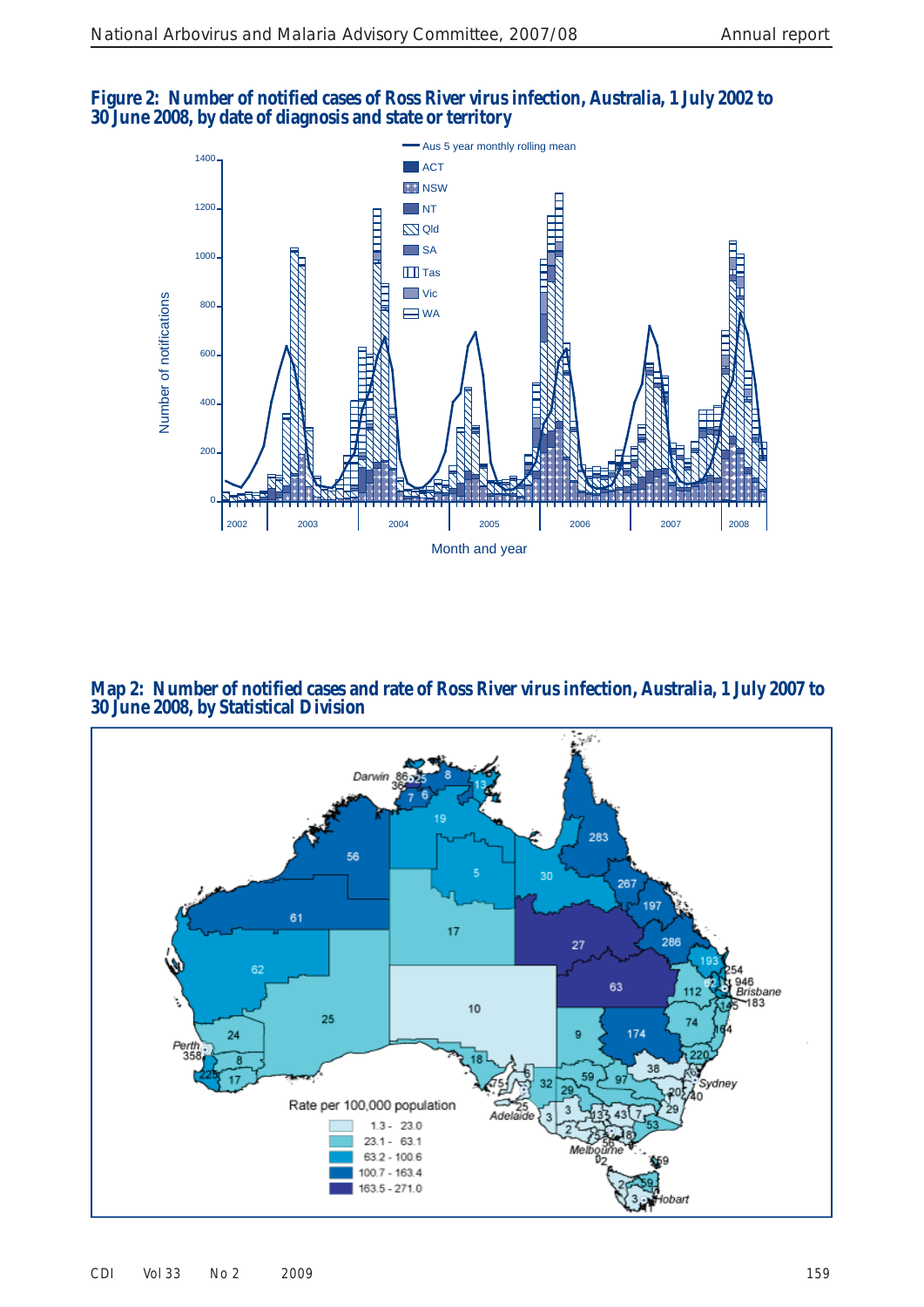



 **Map 2: Number of notified cases and rate of Ross River virus infection, Australia, 1 July 2007 to 30 June 2008, by Statistical Division**

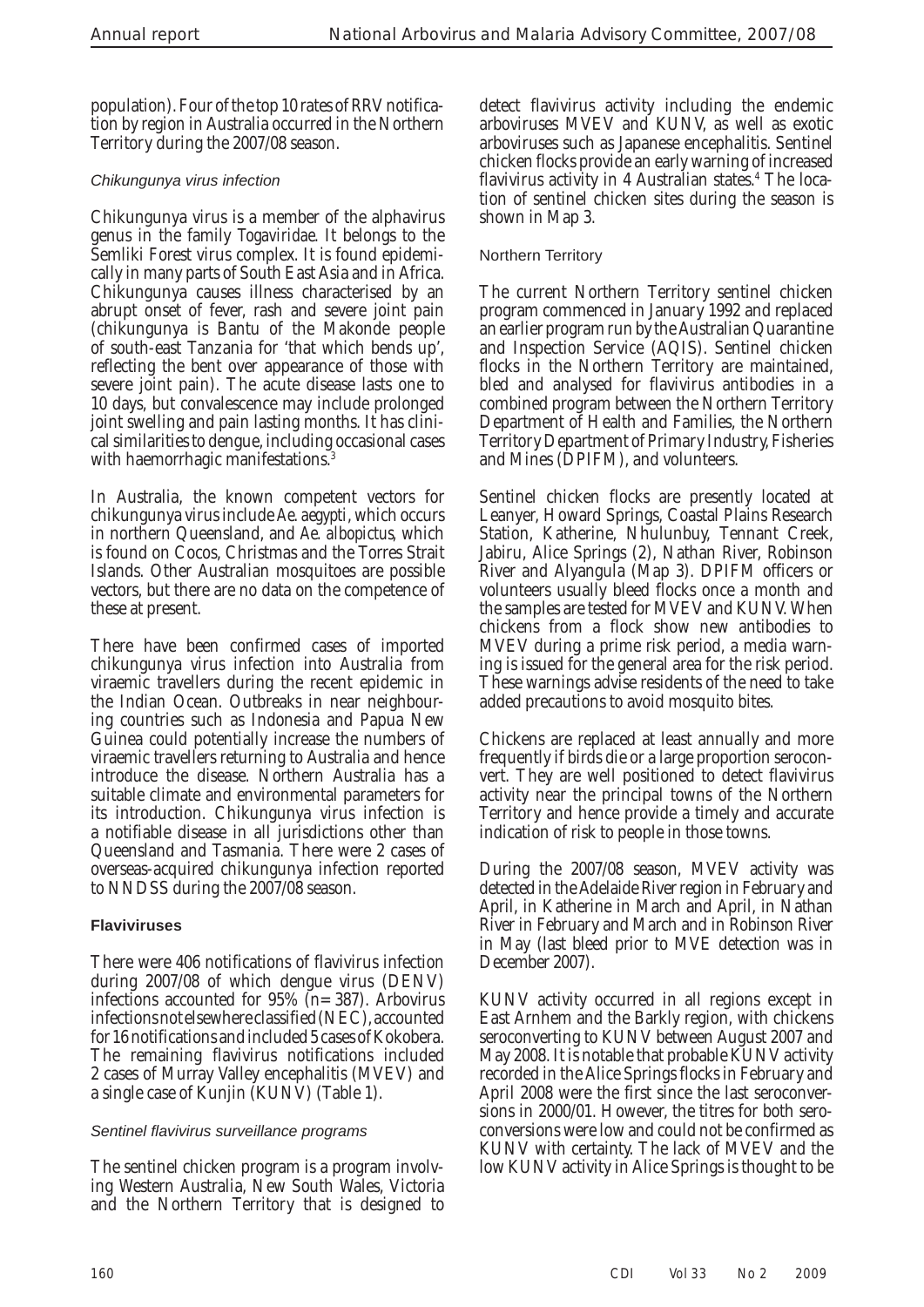population). Four of the top 10 rates of RRV notification by region in Australia occurred in the Northern Territory during the 2007/08 season.

#### *Chikungunya virus infection*

 Chikungunya virus is a member of the alphavirus genus in the family *Togaviridae* . It belongs to the Semliki Forest virus complex. It is found epidemically in many parts of South East Asia and in Africa. Chikungunya causes illness characterised by an abrupt onset of fever, rash and severe joint pain (chikungunya is Bantu of the Makonde people of south-east Tanzania for 'that which bends up', reflecting the bent over appearance of those with severe joint pain). The acute disease lasts one to 10 days, but convalescence may include prolonged joint swelling and pain lasting months. It has clinical similarities to dengue, including occasional cases with haemorrhagic manifestations.<sup>3</sup>

 In Australia, the known competent vectors for chikungunya virus include *Ae. aegypti* , which occurs in northern Queensland, and *Ae. albopictus,* which is found on Cocos, Christmas and the Torres Strait Islands. Other Australian mosquitoes are possible vectors, but there are no data on the competence of these at present.

 There have been confirmed cases of imported chikungunya virus infection into Australia from viraemic travellers during the recent epidemic in the Indian Ocean. Outbreaks in near neighbouring countries such as Indonesia and Papua New Guinea could potentially increase the numbers of viraemic travellers returning to Australia and hence introduce the disease. Northern Australia has a suitable climate and environmental parameters for its introduction. Chikungunya virus infection is a notifiable disease in all jurisdictions other than Queensland and Tasmania. There were 2 cases of overseas-acquired chikungunya infection reported to NNDSS during the 2007/08 season.

#### **Flaviviruses**

 There were 406 notifications of flavivirus infection during 2007/08 of which dengue virus (DENV) infections accounted for  $95\%$  (n=387). Arbovirus infections not elsewhere classified (NEC), accounted for 16 notifications and included 5 cases of Kokobera. The remaining flavivirus notifications included 2 cases of Murray Valley encephalitis (MVEV) and a single case of Kunjin (KUNV) (Table 1).

#### *Sentinel fl avivirus surveillance programs*

 The sentinel chicken program is a program involving Western Australia, New South Wales, Victoria and the Northern Territory that is designed to

detect flavivirus activity including the endemic arboviruses MVEV and KUNV, as well as exotic arboviruses such as Japanese encephalitis. Sentinel chicken flocks provide an early warning of increased flavivirus activity in 4 Australian states.<sup>4</sup> The location of sentinel chicken sites during the season is shown in Map 3.

#### Northern Territory

 The current Northern Territory sentinel chicken program commenced in January 1992 and replaced an earlier program run by the Australian Quarantine and Inspection Service (AQIS). Sentinel chicken flocks in the Northern Territory are maintained, bled and analysed for flavivirus antibodies in a combined program between the Northern Territory Department of Health and Families, the Northern Territory Department of Primary Industry, Fisheries and Mines (DPIFM), and volunteers.

 Sentinel chicken flocks are presently located at Leanyer, Howard Springs, Coastal Plains Research Station, Katherine, Nhulunbuy, Tennant Creek, Jabiru, Alice Springs (2), Nathan River, Robinson River and Alyangula (Map 3). DPIFM officers or volunteers usually bleed flocks once a month and the samples are tested for MVEV and KUNV. When chickens from a flock show new antibodies to MVEV during a prime risk period, a media warning is issued for the general area for the risk period. These warnings advise residents of the need to take added precautions to avoid mosquito bites.

 Chickens are replaced at least annually and more frequently if birds die or a large proportion seroconvert. They are well positioned to detect flavivirus activity near the principal towns of the Northern Territory and hence provide a timely and accurate indication of risk to people in those towns.

 During the 2007/08 season, MVEV activity was detected in the Adelaide River region in February and April, in Katherine in March and April, in Nathan River in February and March and in Robinson River in May (last bleed prior to MVE detection was in December 2007).

 KUNV activity occurred in all regions except in East Arnhem and the Barkly region, with chickens seroconverting to KUNV between August 2007 and May 2008. It is notable that probable KUNV activity recorded in the Alice Springs flocks in February and April 2008 were the first since the last seroconversions in 2000/01. However, the titres for both seroconversions were low and could not be confirmed as KUNV with certainty. The lack of MVEV and the low KUNV activity in Alice Springs is thought to be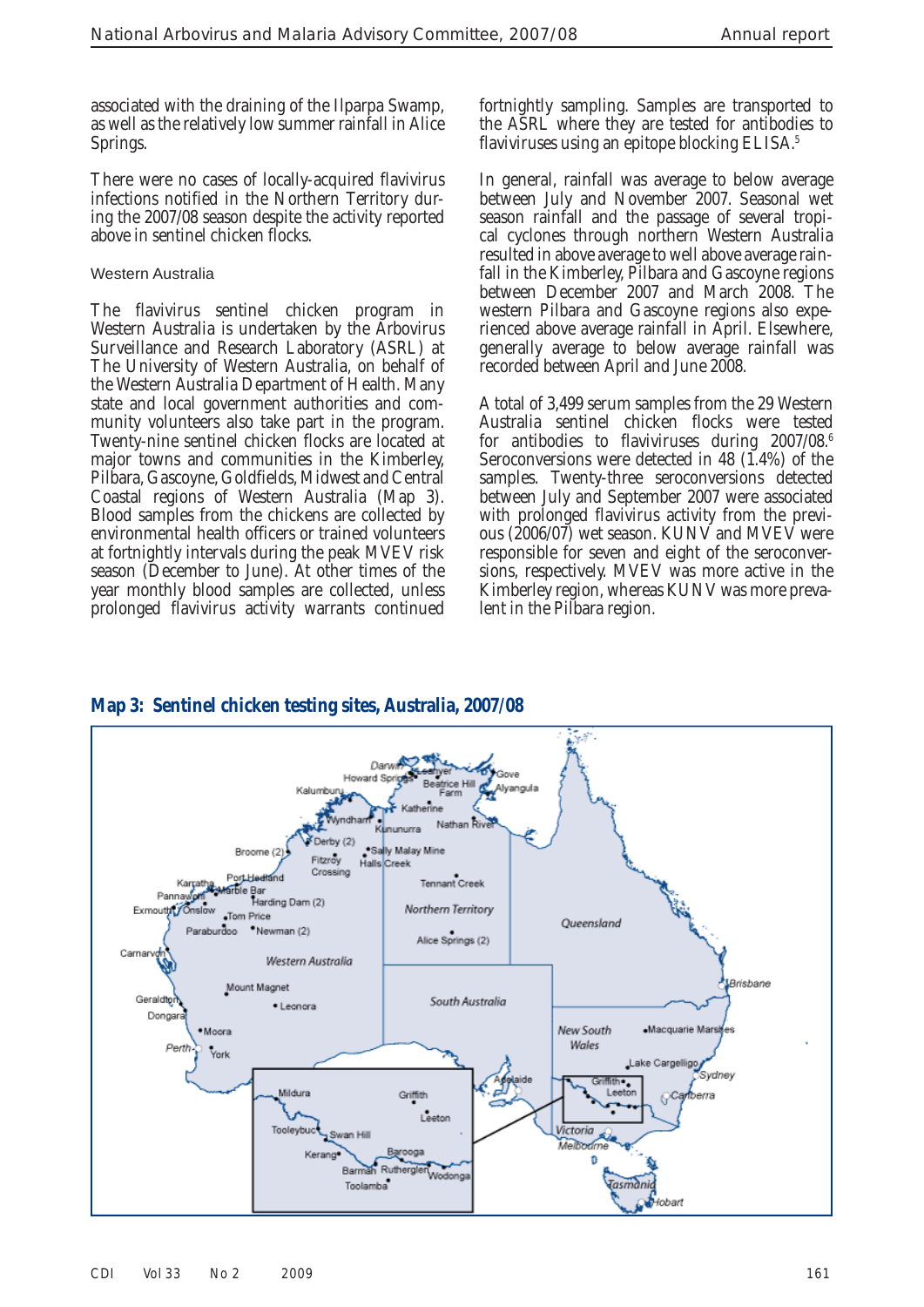associated with the draining of the Ilparpa Swamp, as well as the relatively low summer rainfall in Alice Springs.

 There were no cases of locally-acquired flavivirus infections notified in the Northern Territory during the 2007/08 season despite the activity reported above in sentinel chicken flocks.

#### Western Australia

 The flavivirus sentinel chicken program in Western Australia is undertaken by the Arbovirus Surveillance and Research Laboratory (ASRL) at The University of Western Australia, on behalf of the Western Australia Department of Health. Many state and local government authorities and community volunteers also take part in the program. Twenty-nine sentinel chicken flocks are located at major towns and communities in the Kimberley, Pilbara, Gascoyne, Goldfields, Midwest and Central Coastal regions of Western Australia (Map 3). Blood samples from the chickens are collected by environmental health officers or trained volunteers at fortnightly intervals during the peak MVEV risk season (December to June). At other times of the year monthly blood samples are collected, unless prolonged flavivirus activity warrants continued fortnightly sampling. Samples are transported to the ASRL where they are tested for antibodies to flaviviruses using an epitope blocking ELISA.<sup>5</sup>

 In general, rainfall was average to below average between July and November 2007. Seasonal wet season rainfall and the passage of several tropical cyclones through northern Western Australia resulted in above average to well above average rainfall in the Kimberley, Pilbara and Gascoyne regions between December 2007 and March 2008. The western Pilbara and Gascoyne regions also experienced above average rainfall in April. Elsewhere, generally average to below average rainfall was recorded between April and June 2008.

 A total of 3,499 serum samples from the 29 Western Australia sentinel chicken flocks were tested for antibodies to flaviviruses during 2007/08.<sup>6</sup> Seroconversions were detected in 48 (1.4%) of the samples. Twenty-three seroconversions detected between July and September 2007 were associated with prolonged flavivirus activity from the previous (2006/07) wet season. KUNV and MVEV were responsible for seven and eight of the seroconversions, respectively. MVEV was more active in the Kimberley region, whereas KUNV was more prevalent in the Pilbara region.



# **Map 3: Sentinel chicken testing sites, Australia, 2007/08**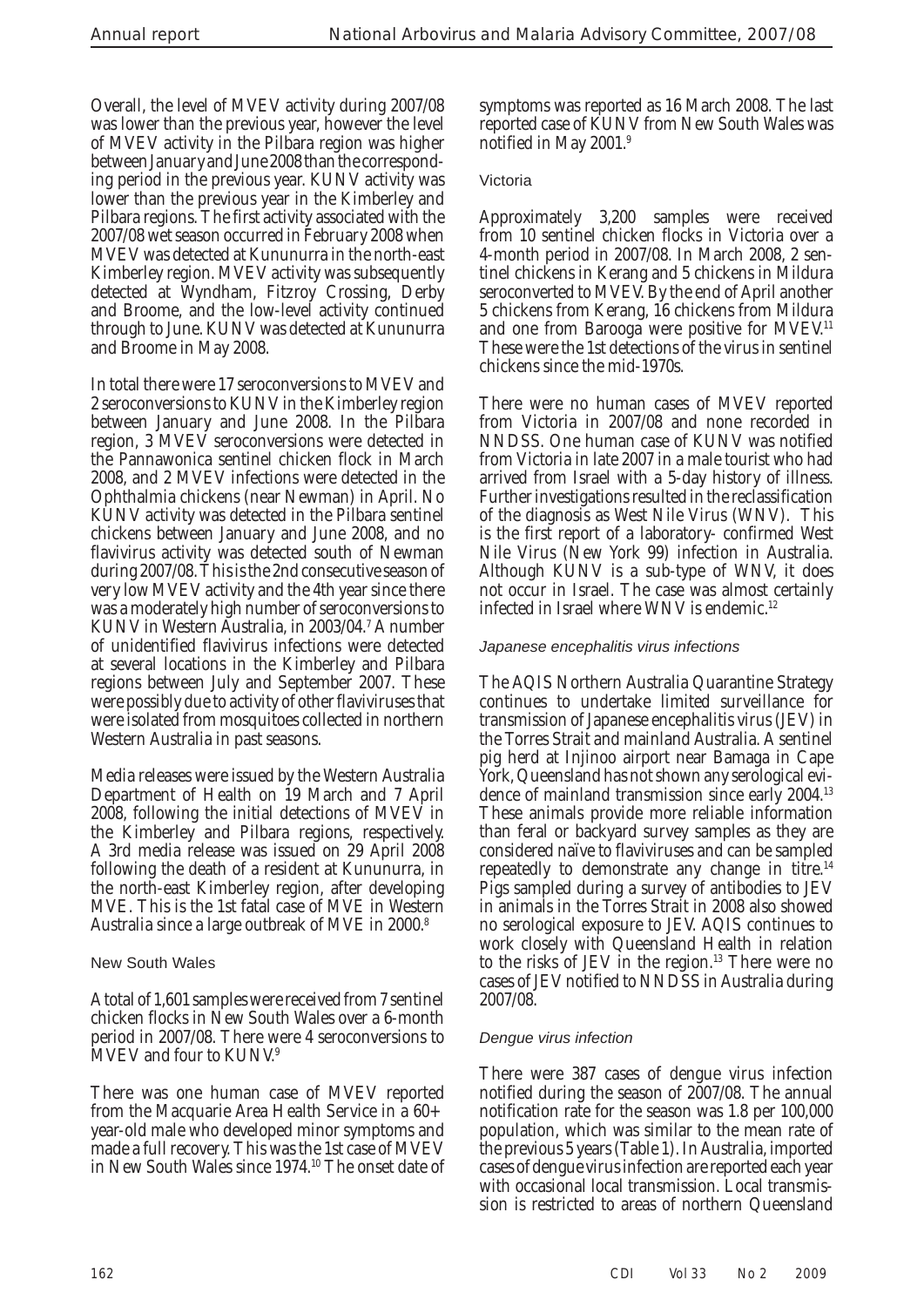Overall, the level of MVEV activity during 2007/08 was lower than the previous year, however the level of MVEV activity in the Pilbara region was higher between January and June 2008 than the corresponding period in the previous year. KUNV activity was lower than the previous year in the Kimberley and Pilbara regions. The first activity associated with the 2007/08 wet season occurred in February 2008 when MVEV was detected at Kununurra in the north-east Kimberley region. MVEV activity was subsequently detected at Wyndham, Fitzroy Crossing, Derby and Broome, and the low-level activity continued through to June. KUNV was detected at Kununurra and Broome in May 2008.

 In total there were 17 seroconversions to MVEV and 2 seroconversions to KUNV in the Kimberley region between January and June 2008. In the Pilbara region, 3 MVEV seroconversions were detected in the Pannawonica sentinel chicken flock in March 2008, and 2 MVEV infections were detected in the Ophthalmia chickens (near Newman) in April. No KUNV activity was detected in the Pilbara sentinel chickens between January and June 2008, and no flavivirus activity was detected south of Newman during 2007/08. This is the 2nd consecutive season of very low MVEV activity and the 4th year since there was a moderately high number of seroconversions to KUNV in Western Australia, in 2003/04.<sup>7</sup> A number of unidentified flavivirus infections were detected at several locations in the Kimberley and Pilbara regions between July and September 2007. These were possibly due to activity of other flaviviruses that were isolated from mosquitoes collected in northern Western Australia in past seasons.

 Media releases were issued by the Western Australia Department of Health on 19 March and 7 April 2008, following the initial detections of MVEV in the Kimberley and Pilbara regions, respectively. A 3rd media release was issued on 29 April 2008 following the death of a resident at Kununurra, in the north-east Kimberley region, after developing MVE. This is the 1st fatal case of MVE in Western Australia since a large outbreak of MVE in 2000. 8

#### New South Wales

 A total of 1,601 samples were received from 7 sentinel chicken flocks in New South Wales over a 6-month period in 2007/08. There were 4 seroconversions to MVEV and four to KUNV.<sup>9</sup>

 There was one human case of MVEV reported from the Macquarie Area Health Service in a 60+ year-old male who developed minor symptoms and made a full recovery. This was the 1st case of MVEV in New South Wales since 1974.<sup>10</sup> The onset date of symptoms was reported as 16 March 2008. The last reported case of KUNV from New South Wales was notified in May 2001. 9

#### Victoria

 Approximately 3,200 samples were received from 10 sentinel chicken flocks in Victoria over a 4-month period in 2007/08. In March 2008, 2 sentinel chickens in Kerang and 5 chickens in Mildura seroconverted to MVEV. By the end of April another 5 chickens from Kerang, 16 chickens from Mildura and one from Barooga were positive for MVEV.<sup>11</sup> These were the 1st detections of the virus in sentinel chickens since the mid-1970s.

 There were no human cases of MVEV reported from Victoria in 2007/08 and none recorded in NNDSS. One human case of KUNV was notified from Victoria in late 2007 in a male tourist who had arrived from Israel with a 5-day history of illness. Further investigations resulted in the reclassification of the diagnosis as West Nile Virus (WNV). This is the first report of a laboratory- confirmed West Nile Virus (New York 99) infection in Australia. Although KUNV is a sub-type of WNV, it does not occur in Israel. The case was almost certainly infected in Israel where WNV is endemic.<sup>12</sup>

## *Japanese encephalitis virus infections*

 The AQIS Northern Australia Quarantine Strategy continues to undertake limited surveillance for transmission of Japanese encephalitis virus (JEV) in the Torres Strait and mainland Australia. A sentinel pig herd at Injinoo airport near Bamaga in Cape York, Queensland has not shown any serological evidence of mainland transmission since early 2004.<sup>13</sup> These animals provide more reliable information than feral or backyard survey samples as they are considered naïve to flaviviruses and can be sampled repeatedly to demonstrate any change in titre.<sup>14</sup> Pigs sampled during a survey of antibodies to JEV in animals in the Torres Strait in 2008 also showed no serological exposure to JEV. AQIS continues to work closely with Queensland Health in relation to the risks of JEV in the region. 13 There were no cases of JEV notified to NNDSS in Australia during 2007/08.

# *Dengue virus infection*

 There were 387 cases of dengue virus infection notified during the season of  $2007/08$ . The annual notification rate for the season was 1.8 per 100,000 population, which was similar to the mean rate of the previous 5 years (Table 1). In Australia, imported cases of dengue virus infection are reported each year with occasional local transmission. Local transmission is restricted to areas of northern Queensland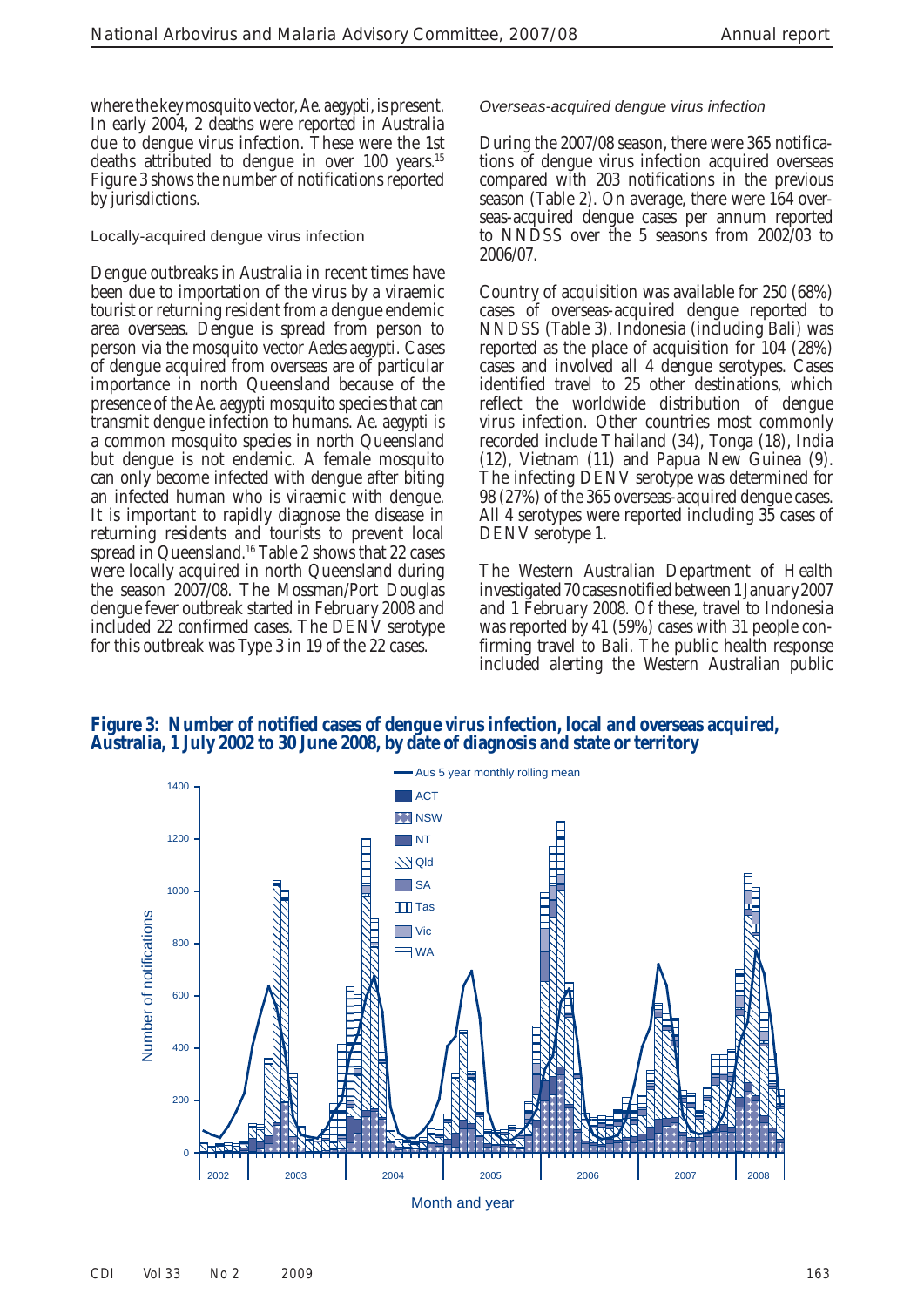where the key mosquito vector, *Ae. aegypti*, is present. In early 2004, 2 deaths were reported in Australia due to dengue virus infection. These were the 1st deaths attributed to dengue in over 100 years.<sup>15</sup> Figure 3 shows the number of notifications reported by jurisdictions.

Locally-acquired dengue virus infection

 Dengue outbreaks in Australia in recent times have been due to importation of the virus by a viraemic tourist or returning resident from a dengue endemic area overseas. Dengue is spread from person to person via the mosquito vector *Aedes aegypti* . Cases of dengue acquired from overseas are of particular importance in north Queensland because of the presence of the *Ae. aegypti* mosquito species that can transmit dengue infection to humans. *Ae. aegypti* is a common mosquito species in north Queensland but dengue is not endemic. A female mosquito can only become infected with dengue after biting an infected human who is viraemic with dengue. It is important to rapidly diagnose the disease in returning residents and tourists to prevent local spread in Queensland. 16 Table 2 shows that 22 cases were locally acquired in north Queensland during the season 2007/08. The Mossman/Port Douglas dengue fever outbreak started in February 2008 and included 22 confirmed cases. The DENV serotype for this outbreak was Type 3 in 19 of the 22 cases.

#### *Overseas-acquired dengue virus infection*

 During the 2007/08 season, there were 365 notifications of dengue virus infection acquired overseas compared with 203 notifications in the previous season (Table 2). On average, there were 164 overseas-acquired dengue cases per annum reported to NNDSS over the 5 seasons from 2002/03 to 2006/07.

 Country of acquisition was available for 250 (68%) cases of overseas-acquired dengue reported to NNDSS (Table 3). Indonesia (including Bali) was reported as the place of acquisition for 104 (28%) cases and involved all 4 dengue serotypes. Cases identified travel to 25 other destinations, which reflect the worldwide distribution of dengue virus infection. Other countries most commonly recorded include Thailand (34), Tonga (18), India (12), Vietnam (11) and Papua New Guinea (9). The infecting DENV serotype was determined for 98 (27%) of the 365 overseas-acquired dengue cases. All 4 serotypes were reported including 35 cases of DENV serotype 1.

 The Western Australian Department of Health investigated 70 cases notified between 1 January 2007 and 1 February 2008. Of these, travel to Indonesia was reported by 41 (59%) cases with 31 people confirming travel to Bali. The public health response included alerting the Western Australian public

 **Figure 3: Number of notified cases of dengue virus infection, local and overseas acquired, Australia, 1 July 2002 to 30 June 2008, by date of diagnosis and state or territory**

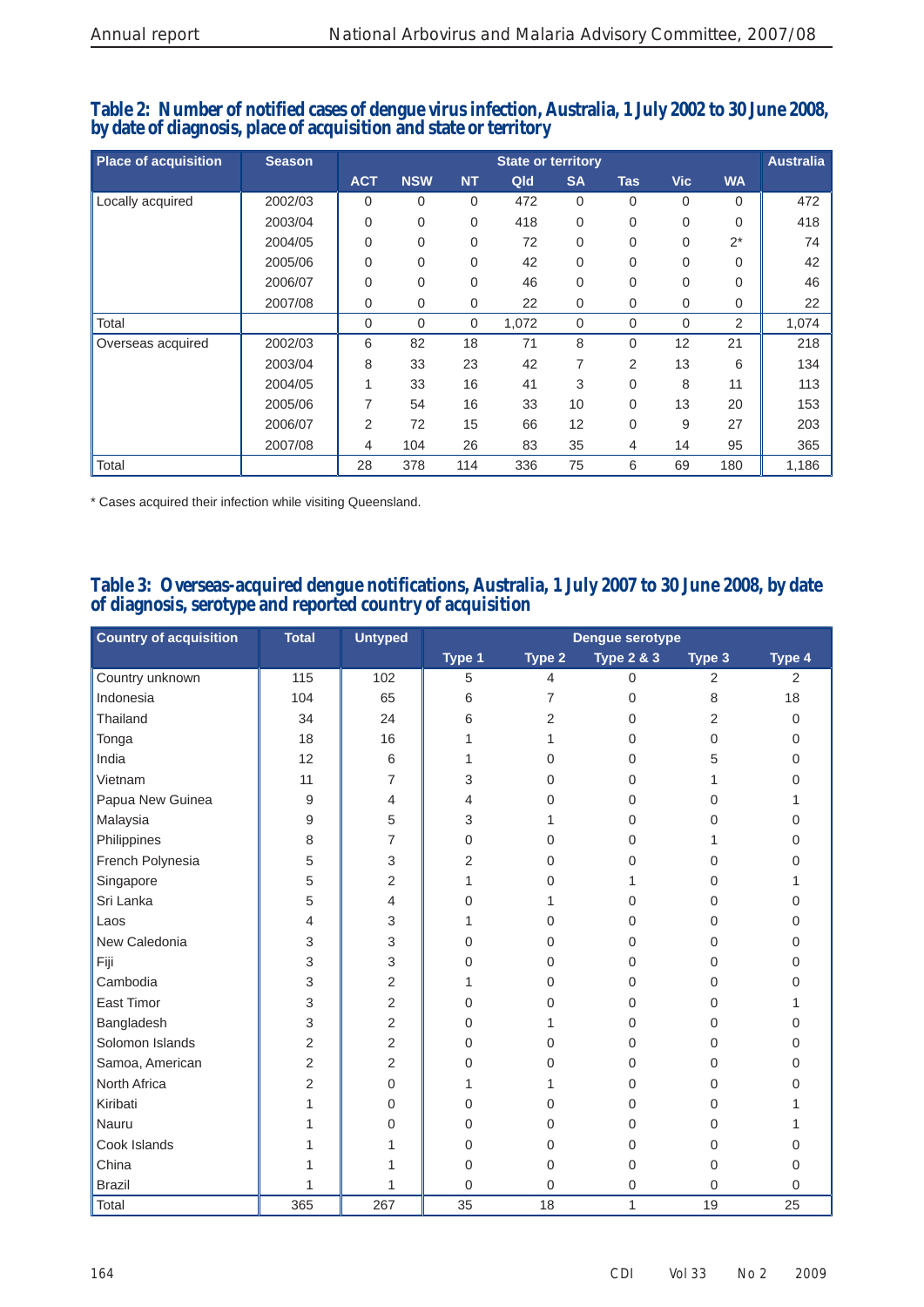## **Table 2: Number of notified cases of dengue virus infection, Australia, 1 July 2002 to 30 June 2008, by date of diagnosis, place of acquisition and state or territory**

| <b>Place of acquisition</b> | <b>Season</b> |                | <b>State or territory</b> |             |       |                |                | <b>Australia</b> |           |       |
|-----------------------------|---------------|----------------|---------------------------|-------------|-------|----------------|----------------|------------------|-----------|-------|
|                             |               | <b>ACT</b>     | <b>NSW</b>                | <b>NT</b>   | Qld   | <b>SA</b>      | <b>Tas</b>     | <b>Vic</b>       | <b>WA</b> |       |
| Locally acquired            | 2002/03       | $\overline{0}$ | $\Omega$                  | $\mathbf 0$ | 472   | $\Omega$       | $\Omega$       | $\mathbf 0$      | $\Omega$  | 472   |
|                             | 2003/04       | $\overline{0}$ | $\Omega$                  | 0           | 418   | $\Omega$       | 0              | 0                | $\Omega$  | 418   |
|                             | 2004/05       | $\overline{0}$ | $\overline{0}$            | 0           | 72    | $\mathbf 0$    | 0              | 0                | $2^*$     | 74    |
|                             | 2005/06       | $\overline{0}$ | $\Omega$                  | 0           | 42    | $\Omega$       | $\overline{0}$ | 0                | $\Omega$  | 42    |
|                             | 2006/07       | $\overline{0}$ | $\Omega$                  | 0           | 46    | $\Omega$       | 0              | 0                | $\Omega$  | 46    |
|                             | 2007/08       | 0              | 0                         | 0           | 22    | 0              | 0              | 0                | 0         | 22    |
| Total                       |               | $\overline{0}$ | $\Omega$                  | $\mathbf 0$ | 1,072 | $\overline{0}$ | 0              | $\mathbf 0$      | 2         | 1,074 |
| Overseas acquired           | 2002/03       | 6              | 82                        | 18          | 71    | 8              | 0              | 12               | 21        | 218   |
|                             | 2003/04       | 8              | 33                        | 23          | 42    | 7              | 2              | 13               | 6         | 134   |
|                             | 2004/05       | 1              | 33                        | 16          | 41    | 3              | $\Omega$       | 8                | 11        | 113   |
|                             | 2005/06       | 7              | 54                        | 16          | 33    | 10             | 0              | 13               | 20        | 153   |
|                             | 2006/07       | 2              | 72                        | 15          | 66    | 12             | $\overline{0}$ | 9                | 27        | 203   |
|                             | 2007/08       | 4              | 104                       | 26          | 83    | 35             | 4              | 14               | 95        | 365   |
| Total                       |               | 28             | 378                       | 114         | 336   | 75             | 6              | 69               | 180       | 1,186 |

\* Cases acquired their infection while visiting Queensland.

# **Table 3: Overseas-acquired dengue notifications, Australia, 1 July 2007 to 30 June 2008, by date of diagnosis, serotype and reported country of acquisition**

| <b>Country of acquisition</b> | <b>Total</b>   | <b>Untyped</b> | Dengue serotype |                |                       |             |                |  |
|-------------------------------|----------------|----------------|-----------------|----------------|-----------------------|-------------|----------------|--|
|                               |                |                | Type 1          | Type 2         | <b>Type 2 &amp; 3</b> | Type 3      | Type 4         |  |
| Country unknown               | 115            | 102            | 5               | $\overline{4}$ | $\boldsymbol{0}$      | 2           | $\overline{2}$ |  |
| Indonesia                     | 104            | 65             | 6               | 7              | $\mathbf 0$           | 8           | 18             |  |
| Thailand                      | 34             | 24             | 6               | 2              | 0                     | 2           | 0              |  |
| Tonga                         | 18             | 16             | 1               | 1              | 0                     | $\Omega$    | $\Omega$       |  |
| India                         | 12             | 6              | 1               | $\mathbf 0$    | 0                     | 5           | $\Omega$       |  |
| Vietnam                       | 11             | $\overline{7}$ | 3               | $\mathbf 0$    | 0                     |             | 0              |  |
| Papua New Guinea              | 9              | $\overline{4}$ | 4               | $\mathbf 0$    | 0                     | 0           | 1              |  |
| Malaysia                      | 9              | 5              | 3               | 1              | 0                     | $\Omega$    | 0              |  |
| Philippines                   | 8              | $\overline{7}$ | 0               | $\mathbf 0$    | 0                     |             | 0              |  |
| French Polynesia              | 5              | 3              | 2               | $\mathbf 0$    | 0                     | $\Omega$    | 0              |  |
| Singapore                     | $\mathbf 5$    | $\overline{2}$ | 1               | $\mathbf 0$    | 1                     | 0           | 1              |  |
| Sri Lanka                     | 5              | $\overline{4}$ | 0               | 1              | 0                     | $\Omega$    | 0              |  |
| Laos                          | 4              | 3              | 1               | $\mathbf 0$    | 0                     | $\Omega$    | 0              |  |
| New Caledonia                 | 3              | 3              | 0               | $\mathbf 0$    | 0                     | 0           | 0              |  |
| Fiji                          | 3              | 3              | 0               | $\mathbf 0$    | 0                     | 0           | 0              |  |
| Cambodia                      | 3              | $\overline{2}$ | 1               | $\mathbf 0$    | 0                     | 0           | 0              |  |
| East Timor                    | 3              | $\overline{2}$ | 0               | $\mathbf 0$    | 0                     | $\Omega$    | 1              |  |
| Bangladesh                    | 3              | $\overline{2}$ | 0               | 1              | 0                     | 0           | 0              |  |
| Solomon Islands               | 2              | $\overline{2}$ | 0               | $\mathbf 0$    | 0                     | $\Omega$    | 0              |  |
| Samoa, American               | $\overline{2}$ | 2              | 0               | $\mathbf 0$    | 0                     | $\Omega$    | 0              |  |
| North Africa                  | $\overline{2}$ | $\mathbf 0$    | 1               | 1              | 0                     | $\Omega$    | 0              |  |
| Kiribati                      | 1              | 0              | 0               | $\Omega$       | 0                     | $\Omega$    |                |  |
| Nauru                         |                | 0              | 0               | $\mathbf 0$    | 0                     | 0           |                |  |
| Cook Islands                  |                | 1              | 0               | 0              | 0                     | 0           | 0              |  |
| China                         | 1              |                | $\mathbf 0$     | $\mathbf 0$    | 0                     | $\mathbf 0$ | 0              |  |
| <b>Brazil</b>                 | 1              | 1              | 0               | $\mathbf 0$    | $\mathbf 0$           | $\mathbf 0$ | 0              |  |
| Total                         | 365            | 267            | 35              | 18             | 1                     | 19          | 25             |  |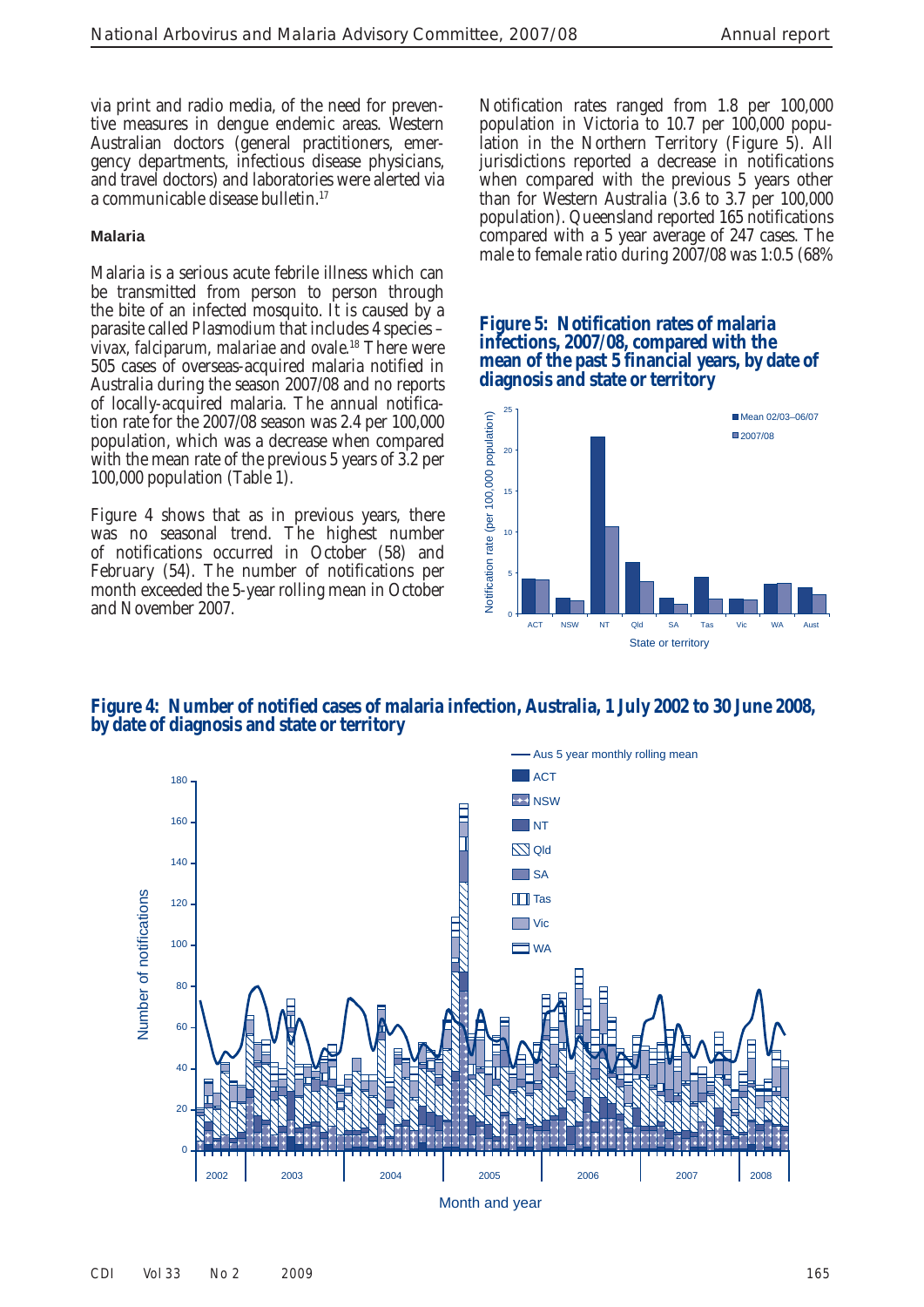via print and radio media, of the need for preventive measures in dengue endemic areas. Western Australian doctors (general practitioners, emergency departments, infectious disease physicians, and travel doctors) and laboratories were alerted via a communicable disease bulletin. 17

#### **Malaria**

 Malaria is a serious acute febrile illness which can be transmitted from person to person through the bite of an infected mosquito. It is caused by a parasite called *Plasmodium* that includes 4 species – *vivax, falciparum, malariae* and *ovale*.<sup>18</sup> There were 505 cases of overseas-acquired malaria notified in Australia during the season 2007/08 and no reports of locally-acquired malaria. The annual notification rate for the 2007/08 season was 2.4 per 100,000 population, which was a decrease when compared with the mean rate of the previous 5 years of 3.2 per 100,000 population (Table 1).

 Figure 4 shows that as in previous years, there was no seasonal trend. The highest number of notifications occurred in October (58) and February (54). The number of notifications per month exceeded the 5-year rolling mean in October and November 2007.

 Notification rates ranged from 1.8 per 100,000 population in Victoria to 10.7 per 100,000 population in the Northern Territory (Figure 5). All jurisdictions reported a decrease in notifications when compared with the previous 5 years other than for Western Australia (3.6 to 3.7 per 100,000 population). Queensland reported 165 notifications compared with a 5 year average of 247 cases. The male to female ratio during 2007/08 was 1:0.5 (68%

#### **Figure 5: Notification rates of malaria infections, 2007/08, compared with the mean of the past 5 financial years, by date of diagnosis and state or territory**



 **Figure 4: Number of notified cases of malaria infection, Australia, 1 July 2002 to 30 June 2008, by date of diagnosis and state or territory**

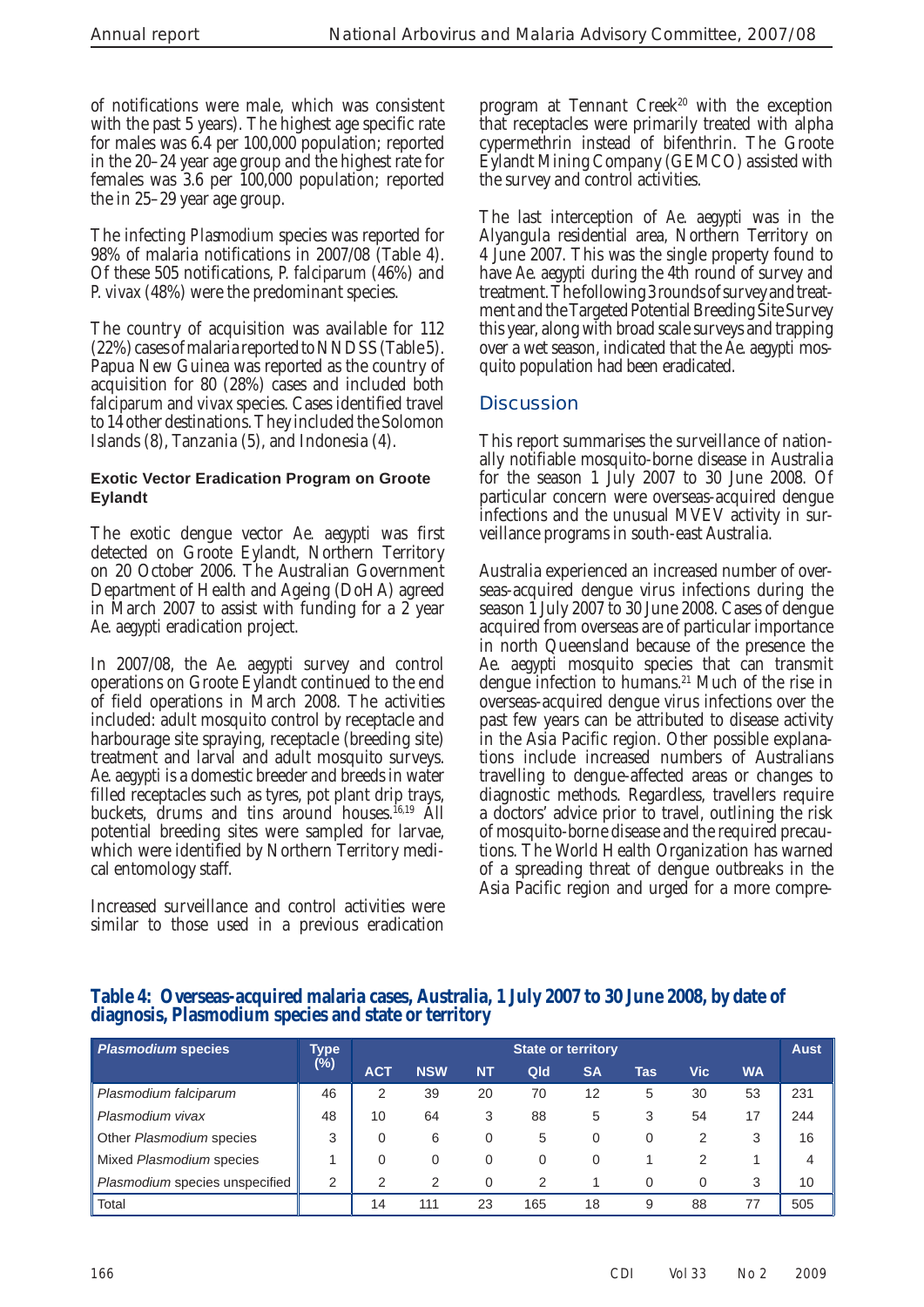of notifications were male, which was consistent with the past 5 years). The highest age specific rate for males was 6.4 per 100,000 population; reported in the 20–24 year age group and the highest rate for females was 3.6 per 100,000 population; reported the in 25–29 year age group.

 The infecting *Plasmodium* species was reported for 98% of malaria notifications in 2007/08 (Table 4). Of these 505 notifications, *P. falciparum* (46%) and *P. vivax* (48%) were the predominant species.

 The country of acquisition was available for 112 (22%) cases of malaria reported to NNDSS (Table 5). Papua New Guinea was reported as the country of acquisition for 80 (28%) cases and included both *falciparum* and *vivax* species. Cases identified travel to 14 other destinations. They included the Solomon Islands (8), Tanzania (5), and Indonesia (4).

#### **Exotic Vector Eradication Program on Groote Eylandt**

 The exotic dengue vector *Ae. aegypti* was first detected on Groote Eylandt, Northern Territory on 20 October 2006. The Australian Government Department of Health and Ageing (DoHA) agreed in March 2007 to assist with funding for a 2 year *Ae. aegypti* eradication project.

 In 2007/08, the *Ae. aegypti* survey and control operations on Groote Eylandt continued to the end of field operations in March 2008. The activities included: adult mosquito control by receptacle and harbourage site spraying, receptacle (breeding site) treatment and larval and adult mosquito surveys. *Ae. aegypti* is a domestic breeder and breeds in water filled receptacles such as tyres, pot plant drip trays, buckets, drums and tins around houses.<sup>16,19</sup> All potential breeding sites were sampled for larvae, which were identified by Northern Territory medical entomology staff.

 Increased surveillance and control activities were similar to those used in a previous eradication program at Tennant Creek<sup>20</sup> with the exception that receptacles were primarily treated with alpha cypermethrin instead of bifenthrin. The Groote Eylandt Mining Company (GEMCO) assisted with the survey and control activities.

 The last interception of *Ae. aegypti* was in the Alyangula residential area, Northern Territory on 4 June 2007. This was the single property found to have *Ae. aegypti* during the 4th round of survey and treatment. The following 3 rounds of survey and treatment and the Targeted Potential Breeding Site Survey this year, along with broad scale surveys and trapping over a wet season, indicated that the *Ae. aegypti* mosquito population had been eradicated.

# **Discussion**

 This report summarises the surveillance of nationally notifiable mosquito-borne disease in Australia for the season 1 July 2007 to 30 June 2008. Of particular concern were overseas-acquired dengue infections and the unusual MVEV activity in surveillance programs in south-east Australia.

 Australia experienced an increased number of overseas-acquired dengue virus infections during the season 1 July 2007 to 30 June 2008. Cases of dengue acquired from overseas are of particular importance in north Queensland because of the presence the *Ae. aegypti* mosquito species that can transmit dengue infection to humans.<sup>21</sup> Much of the rise in overseas-acquired dengue virus infections over the past few years can be attributed to disease activity in the Asia Pacific region. Other possible explanations include increased numbers of Australians travelling to dengue-affected areas or changes to diagnostic methods. Regardless, travellers require a doctors' advice prior to travel, outlining the risk of mosquito-borne disease and the required precautions. The World Health Organization has warned of a spreading threat of dengue outbreaks in the Asia Pacific region and urged for a more compre-

 **Table 4: Overseas-acquired malaria cases, Australia, 1 July 2007 to 30 June 2008, by date of diagnosis, Plasmodium species and state or territory**

| <b>Plasmodium species</b>      | <b>Type</b> | <b>State or territory</b> |            |           |     |           |     |          |           | <b>Aust</b> |
|--------------------------------|-------------|---------------------------|------------|-----------|-----|-----------|-----|----------|-----------|-------------|
|                                | (%)         | <b>ACT</b>                | <b>NSW</b> | <b>NT</b> | Qld | <b>SA</b> | Tas | Vic      | <b>WA</b> |             |
| Plasmodium falciparum          | 46          | 2                         | 39         | 20        | 70  | 12        | 5   | 30       | 53        | 231         |
| Plasmodium vivax               | 48          | 10                        | 64         | 3         | 88  | 5         | 3   | 54       | 17        | 244         |
| Other Plasmodium species       | 3           | $\Omega$                  | 6          | 0         | 5   |           | 0   | 2        |           | 16          |
| Mixed Plasmodium species       |             | $\Omega$                  | 0          | 0         | 0   |           |     | 2        |           | 4           |
| Plasmodium species unspecified | 2           | っ                         | 2          | $\Omega$  | 2   |           | 0   | $\Omega$ | 3         | 10          |
| Total                          |             | 14                        | 111        | 23        | 165 | 18        | 9   | 88       | 77        | 505         |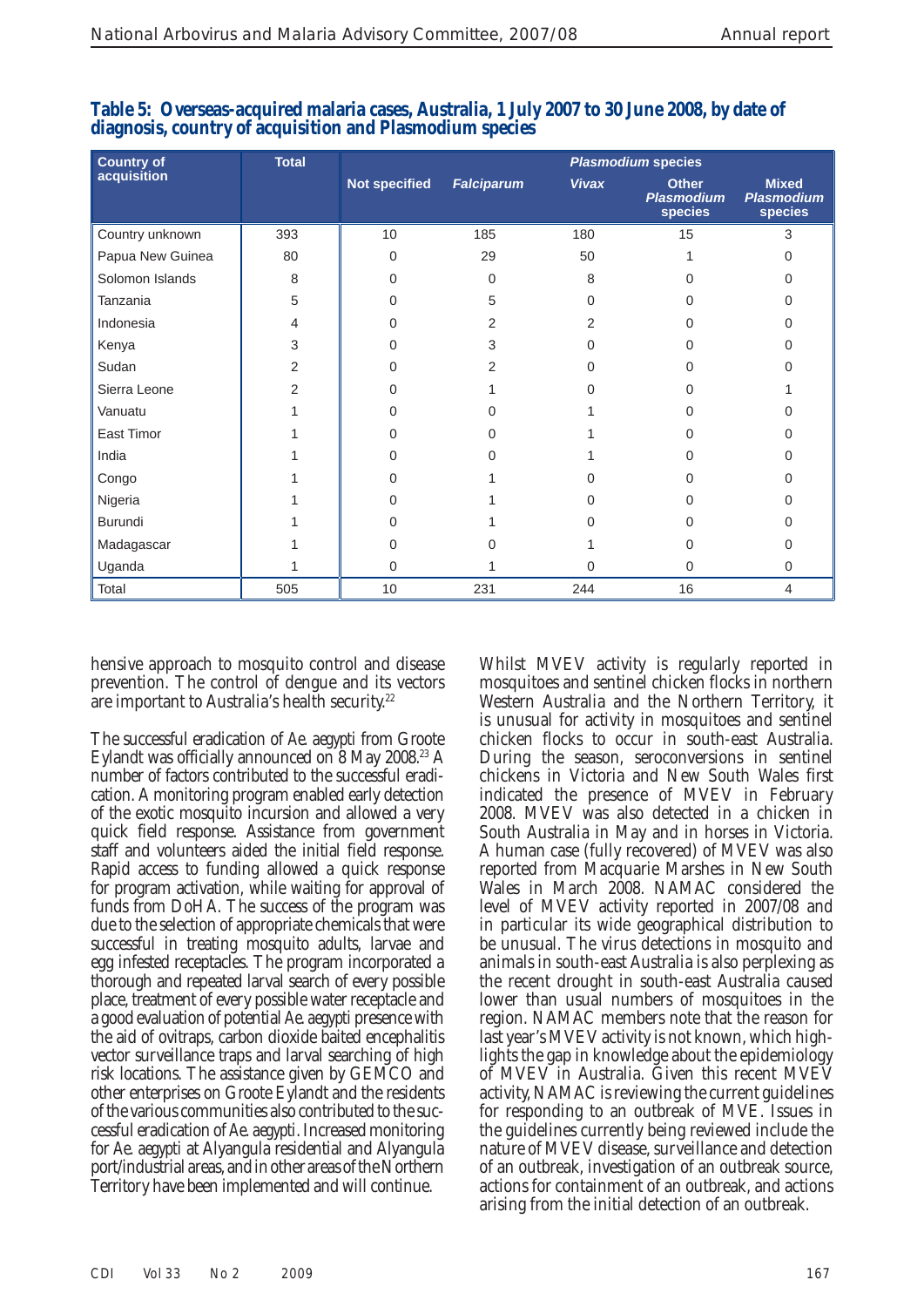| <b>Country of</b> | <b>Total</b> | <b>Plasmodium species</b> |                   |              |                                              |                                              |  |
|-------------------|--------------|---------------------------|-------------------|--------------|----------------------------------------------|----------------------------------------------|--|
| acquisition       |              | <b>Not specified</b>      | <b>Falciparum</b> | <b>Vivax</b> | <b>Other</b><br><b>Plasmodium</b><br>species | <b>Mixed</b><br><b>Plasmodium</b><br>species |  |
| Country unknown   | 393          | 10                        | 185               | 180          | 15                                           | 3                                            |  |
| Papua New Guinea  | 80           | $\Omega$                  | 29                | 50           |                                              |                                              |  |
| Solomon Islands   | 8            | $\Omega$                  | $\Omega$          | 8            |                                              |                                              |  |
| Tanzania          | 5            | ∩                         | 5                 | 0            |                                              |                                              |  |
| Indonesia         | 4            | $\Omega$                  | 2                 | 2            |                                              |                                              |  |
| Kenya             | 3            | $\Omega$                  | 3                 | 0            | U                                            |                                              |  |
| Sudan             | 2            | ∩                         | 2                 |              |                                              |                                              |  |
| Sierra Leone      | 2            | ∩                         |                   |              |                                              |                                              |  |
| Vanuatu           |              | ∩                         |                   |              | n                                            |                                              |  |
| East Timor        |              |                           |                   |              |                                              |                                              |  |
| India             |              | ∩                         |                   |              |                                              |                                              |  |
| Congo             |              | ∩                         |                   |              | n                                            |                                              |  |
| Nigeria           |              | ∩                         |                   |              |                                              |                                              |  |
| Burundi           |              |                           |                   |              |                                              |                                              |  |
| Madagascar        |              | $\Omega$                  |                   |              | 0                                            |                                              |  |
| Uganda            |              | $\Omega$                  |                   | $\Omega$     | $\Omega$                                     | 0                                            |  |
| Total             | 505          | 10                        | 231               | 244          | 16                                           | 4                                            |  |

| Table 5: Overseas-acquired malaria cases, Australia, 1 July 2007 to 30 June 2008, by date of |  |
|----------------------------------------------------------------------------------------------|--|
| diagnosis, country of acquisition and Plasmodium species                                     |  |

hensive approach to mosquito control and disease prevention. The control of dengue and its vectors are important to Australia's health security.<sup>22</sup>

 The successful eradication of *Ae. aegypti* from Groote Eylandt was officially announced on 8 May 2008.<sup>23</sup> A number of factors contributed to the successful eradication. A monitoring program enabled early detection of the exotic mosquito incursion and allowed a very quick field response. Assistance from government staff and volunteers aided the initial field response. Rapid access to funding allowed a quick response for program activation, while waiting for approval of funds from DoHA. The success of the program was due to the selection of appropriate chemicals that were successful in treating mosquito adults, larvae and egg infested receptacles. The program incorporated a thorough and repeated larval search of every possible place, treatment of every possible water receptacle and a good evaluation of potential *Ae. aegypti* presence with the aid of ovitraps, carbon dioxide baited encephalitis vector surveillance traps and larval searching of high risk locations. The assistance given by GEMCO and other enterprises on Groote Eylandt and the residents of the various communities also contributed to the successful eradication of *Ae. aegypti* . Increased monitoring for *Ae. aegypti* at Alyangula residential and Alyangula port/industrial areas, and in other areas of the Northern Territory have been implemented and will continue.

 Whilst MVEV activity is regularly reported in mosquitoes and sentinel chicken flocks in northern Western Australia and the Northern Territory, it is unusual for activity in mosquitoes and sentinel chicken flocks to occur in south-east Australia. During the season, seroconversions in sentinel chickens in Victoria and New South Wales first indicated the presence of MVEV in February 2008. MVEV was also detected in a chicken in South Australia in May and in horses in Victoria. A human case (fully recovered) of MVEV was also reported from Macquarie Marshes in New South Wales in March 2008. NAMAC considered the level of MVEV activity reported in 2007/08 and in particular its wide geographical distribution to be unusual. The virus detections in mosquito and animals in south-east Australia is also perplexing as the recent drought in south-east Australia caused lower than usual numbers of mosquitoes in the region. NAMAC members note that the reason for last year's MVEV activity is not known, which highlights the gap in knowledge about the epidemiology of MVEV in Australia. Given this recent MVEV activity, NAMAC is reviewing the current guidelines for responding to an outbreak of MVE. Issues in the guidelines currently being reviewed include the nature of MVEV disease, surveillance and detection of an outbreak, investigation of an outbreak source, actions for containment of an outbreak, and actions arising from the initial detection of an outbreak.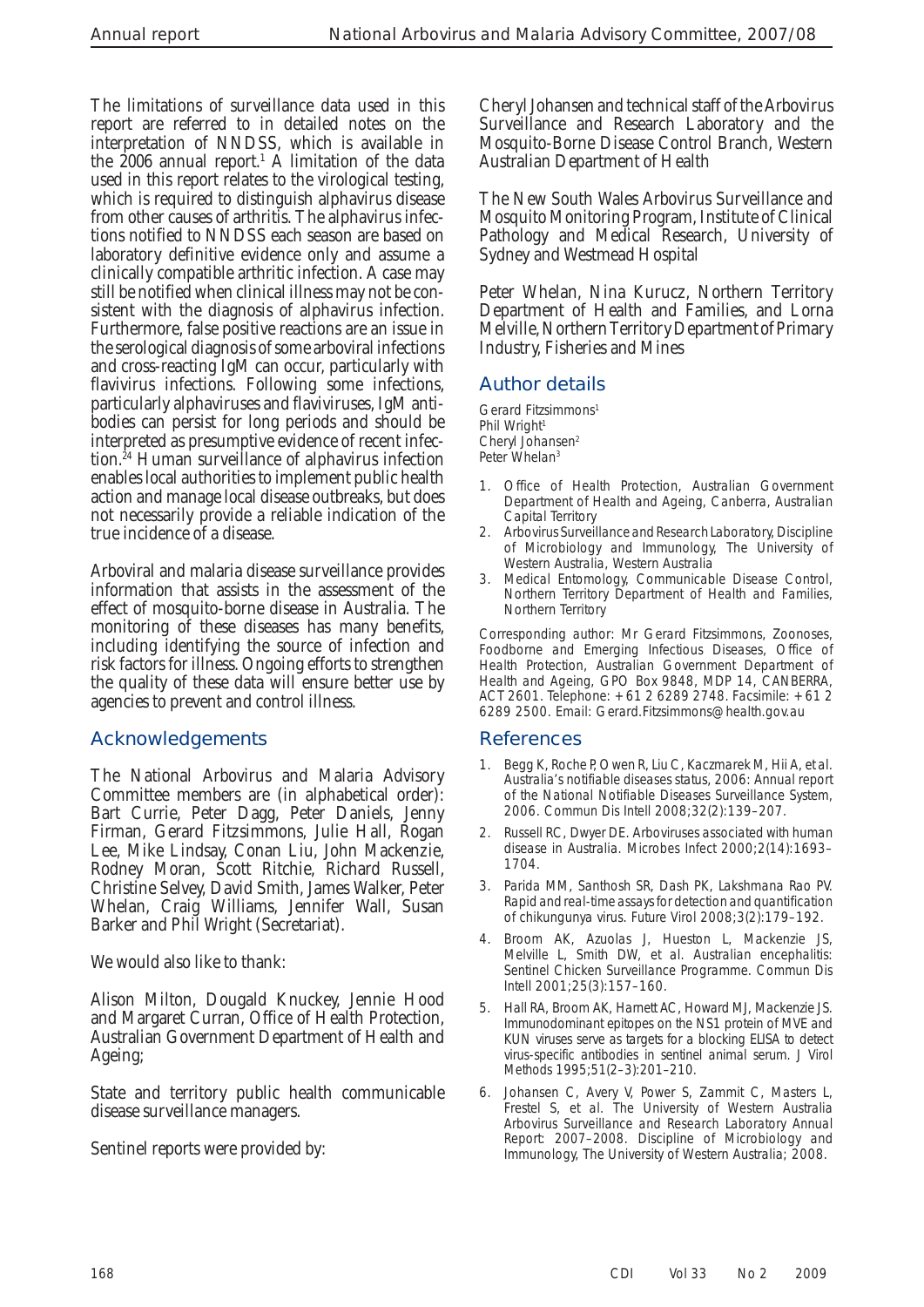The limitations of surveillance data used in this report are referred to in detailed notes on the interpretation of NNDSS, which is available in the  $2006$  annual report.<sup>1</sup> A limitation of the data used in this report relates to the virological testing, which is required to distinguish alphavirus disease from other causes of arthritis. The alphavirus infections notified to NNDSS each season are based on laboratory definitive evidence only and assume a clinically compatible arthritic infection. A case may still be notified when clinical illness may not be consistent with the diagnosis of alphavirus infection. Furthermore, false positive reactions are an issue in the serological diagnosis of some arboviral infections and cross-reacting IgM can occur, particularly with flavivirus infections. Following some infections, particularly alphaviruses and flaviviruses, IgM antibodies can persist for long periods and should be interpreted as presumptive evidence of recent infection. 24 Human surveillance of alphavirus infection enables local authorities to implement public health action and manage local disease outbreaks, but does not necessarily provide a reliable indication of the true incidence of a disease.

 Arboviral and malaria disease surveillance provides information that assists in the assessment of the effect of mosquito-borne disease in Australia. The monitoring of these diseases has many benefits, including identifying the source of infection and risk factors for illness. Ongoing efforts to strengthen the quality of these data will ensure better use by agencies to prevent and control illness.

# **Acknowledgements**

 The National Arbovirus and Malaria Advisory Committee members are (in alphabetical order): Bart Currie, Peter Dagg, Peter Daniels, Jenny Firman, Gerard Fitzsimmons, Julie Hall, Rogan Lee, Mike Lindsay, Conan Liu, John Mackenzie, Rodney Moran, Scott Ritchie, Richard Russell, Christine Selvey, David Smith, James Walker, Peter Whelan, Craig Williams, Jennifer Wall, Susan Barker and Phil Wright (Secretariat).

We would also like to thank:

 Alison Milton, Dougald Knuckey, Jennie Hood and Margaret Curran, Office of Health Protection, Australian Government Department of Health and Ageing;

 State and territory public health communicable disease surveillance managers.

Sentinel reports were provided by:

 Cheryl Johansen and technical staff of the Arbovirus Surveillance and Research Laboratory and the Mosquito-Borne Disease Control Branch, Western Australian Department of Health

 The New South Wales Arbovirus Surveillance and Mosquito Monitoring Program, Institute of Clinical Pathology and Medical Research, University of Sydney and Westmead Hospital

 Peter Whelan, Nina Kurucz, Northern Territory Department of Health and Families, and Lorna Melville, Northern Territory Department of Primary Industry, Fisheries and Mines

# **Author details**

Gerard Fitzsimmons 1 Phil Wright<sup>1</sup> Cheryl Johansen<sup>2</sup> Peter Whelan<sup>3</sup>

- Office of Health Protection, Australian Government Department of Health and Ageing, Canberra, Australian Capital Territory
- 2. Arbovirus Surveillance and Research Laboratory, Discipline of Microbiology and Immunology, The University of Western Australia, Western Australia
- 3. Medical Entomology, Communicable Disease Control, Northern Territory Department of Health and Families, Northern Territory

Corresponding author: Mr Gerard Fitzsimmons, Zoonoses, Foodborne and Emerging Infectious Diseases, Office of Health Protection, Australian Government Department of Health and Ageing, GPO Box 9848, MDP 14, CANBERRA, ACT 2601. Telephone: +61 2 6289 2748. Facsimile: +61 2 6289 2500. Email: Gerard.Fitzsimmons@health.gov.au

#### **References**

- Begg K, Roche P, Owen R, Liu C, Kaczmarek M, Hii A, et al. Australia's notifiable diseases status, 2006: Annual report of the National Notifiable Diseases Surveillance System, 2006. *Commun Dis Intell* 2008;32(2):139–207.
- Russell RC, Dwyer DE. Arboviruses associated with human disease in Australia. *Microbes Infect* 2000;2(14):1693– 1704.
- 3. Parida MM, Santhosh SR, Dash PK, Lakshmana Rao PV. Rapid and real-time assays for detection and quantification of chikungunya virus. *Future Virol* 2008;3(2):179–192.
- 4. Broom AK, Azuolas J, Hueston L, Mackenzie JS, Melville L, Smith DW, et al. Australian encephalitis: Sentinel Chicken Surveillance Programme. *Commun Dis Intell* 2001;25(3):157–160.
- 5. Hall RA, Broom AK, Harnett AC, Howard MJ, Mackenzie JS. Immunodominant epitopes on the NS1 protein of MVE and KUN viruses serve as targets for a blocking ELISA to detect virus-specific antibodies in sentinel animal serum. *J Virol Methods* 1995;51(2–3):201–210.
- 6. Johansen C, Avery V, Power S, Zammit C, Masters L, Frestel S, et al. *The University of Western Australia Arbovirus Surveillance and Research Laboratory Annual Report: 2007–2008.* Discipline of Microbiology and Immunology, The University of Western Australia; 2008.